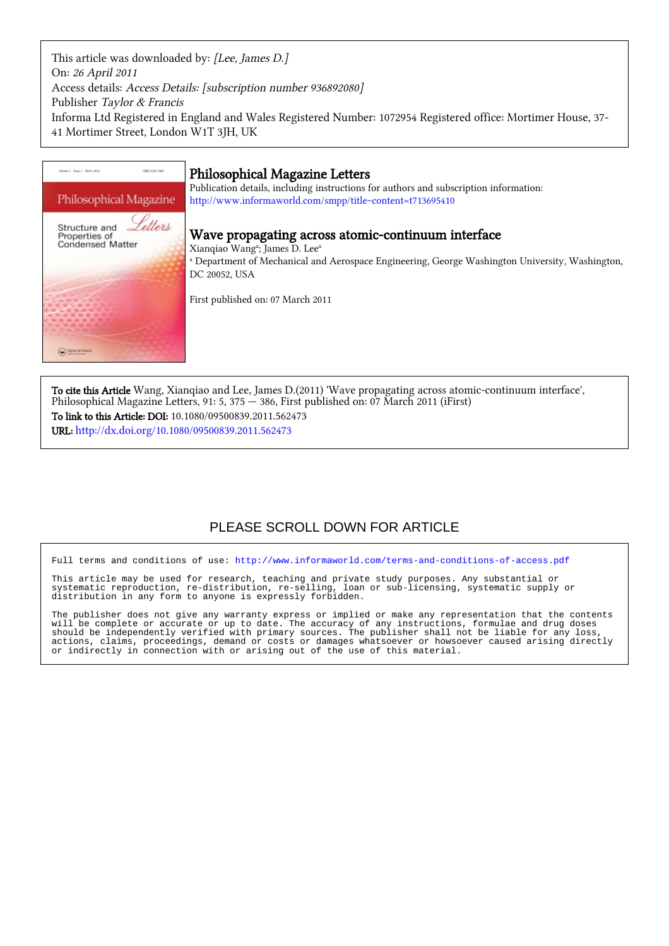This article was downloaded by: [Lee, James D.] On: 26 April 2011 Access details: Access Details: [subscription number 936892080] Publisher Taylor & Francis Informa Ltd Registered in England and Wales Registered Number: 1072954 Registered office: Mortimer House, 37- 41 Mortimer Street, London W1T 3JH, UK



## Philosophical Magazine Letters

Publication details, including instructions for authors and subscription information: <http://www.informaworld.com/smpp/title~content=t713695410>

## Wave propagating across atomic-continuum interface

Xianqiao Wang<sup>a</sup>; James D. Lee<sup>a</sup>

a Department of Mechanical and Aerospace Engineering, George Washington University, Washington, DC 20052, USA

First published on: 07 March 2011

To cite this Article Wang, Xianqiao and Lee, James D.(2011) 'Wave propagating across atomic-continuum interface', Philosophical Magazine Letters, 91: 5, 375 — 386, First published on: 07 March 2011 (iFirst) To link to this Article: DOI: 10.1080/09500839.2011.562473 URL: <http://dx.doi.org/10.1080/09500839.2011.562473>

# PLEASE SCROLL DOWN FOR ARTICLE

Full terms and conditions of use:<http://www.informaworld.com/terms-and-conditions-of-access.pdf>

This article may be used for research, teaching and private study purposes. Any substantial or systematic reproduction, re-distribution, re-selling, loan or sub-licensing, systematic supply or distribution in any form to anyone is expressly forbidden.

The publisher does not give any warranty express or implied or make any representation that the contents will be complete or accurate or up to date. The accuracy of any instructions, formulae and drug doses should be independently verified with primary sources. The publisher shall not be liable for any loss, actions, claims, proceedings, demand or costs or damages whatsoever or howsoever caused arising directly or indirectly in connection with or arising out of the use of this material.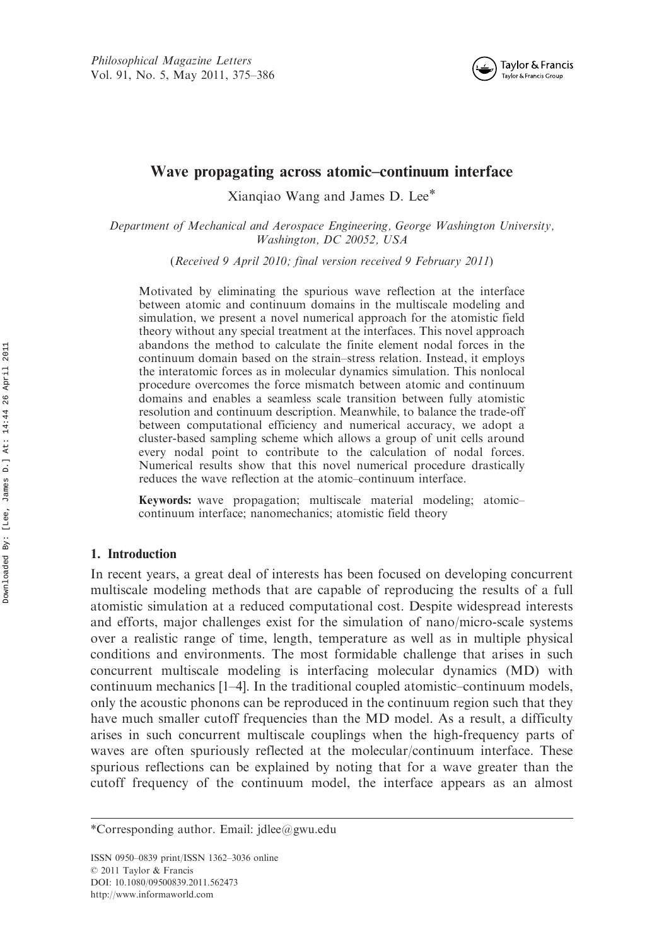

### Wave propagating across atomic–continuum interface

Xianqiao Wang and James D. Lee\*

Department of Mechanical and Aerospace Engineering, George Washington University, Washington, DC 20052, USA

(Received 9 April 2010; final version received 9 February 2011)

Motivated by eliminating the spurious wave reflection at the interface between atomic and continuum domains in the multiscale modeling and simulation, we present a novel numerical approach for the atomistic field theory without any special treatment at the interfaces. This novel approach abandons the method to calculate the finite element nodal forces in the continuum domain based on the strain–stress relation. Instead, it employs the interatomic forces as in molecular dynamics simulation. This nonlocal procedure overcomes the force mismatch between atomic and continuum domains and enables a seamless scale transition between fully atomistic resolution and continuum description. Meanwhile, to balance the trade-off between computational efficiency and numerical accuracy, we adopt a cluster-based sampling scheme which allows a group of unit cells around every nodal point to contribute to the calculation of nodal forces. Numerical results show that this novel numerical procedure drastically reduces the wave reflection at the atomic–continuum interface.

Keywords: wave propagation; multiscale material modeling; atomic– continuum interface; nanomechanics; atomistic field theory

#### 1. Introduction

In recent years, a great deal of interests has been focused on developing concurrent multiscale modeling methods that are capable of reproducing the results of a full atomistic simulation at a reduced computational cost. Despite widespread interests and efforts, major challenges exist for the simulation of nano/micro-scale systems over a realistic range of time, length, temperature as well as in multiple physical conditions and environments. The most formidable challenge that arises in such concurrent multiscale modeling is interfacing molecular dynamics (MD) with continuum mechanics [1–4]. In the traditional coupled atomistic–continuum models, only the acoustic phonons can be reproduced in the continuum region such that they have much smaller cutoff frequencies than the MD model. As a result, a difficulty arises in such concurrent multiscale couplings when the high-frequency parts of waves are often spuriously reflected at the molecular/continuum interface. These spurious reflections can be explained by noting that for a wave greater than the cutoff frequency of the continuum model, the interface appears as an almost

ISSN 0950–0839 print/ISSN 1362–3036 online © 2011 Taylor & Francis DOI: 10.1080/09500839.2011.562473 http://www.informaworld.com

<sup>\*</sup>Corresponding author. Email: jdlee@gwu.edu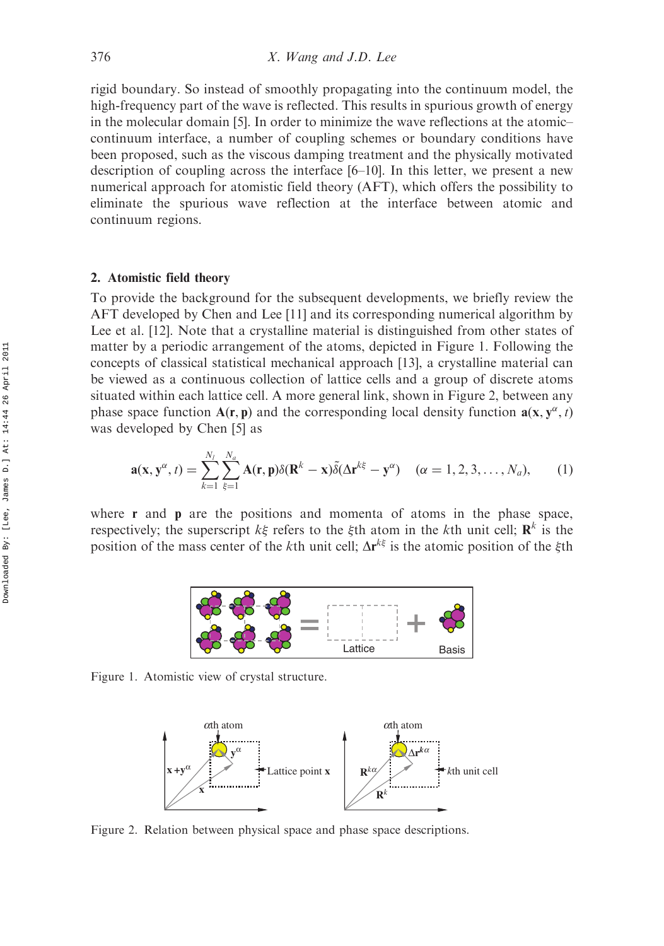rigid boundary. So instead of smoothly propagating into the continuum model, the high-frequency part of the wave is reflected. This results in spurious growth of energy in the molecular domain [5]. In order to minimize the wave reflections at the atomic– continuum interface, a number of coupling schemes or boundary conditions have been proposed, such as the viscous damping treatment and the physically motivated description of coupling across the interface [6–10]. In this letter, we present a new numerical approach for atomistic field theory (AFT), which offers the possibility to eliminate the spurious wave reflection at the interface between atomic and continuum regions.

#### 2. Atomistic field theory

To provide the background for the subsequent developments, we briefly review the AFT developed by Chen and Lee [11] and its corresponding numerical algorithm by Lee et al. [12]. Note that a crystalline material is distinguished from other states of matter by a periodic arrangement of the atoms, depicted in Figure 1. Following the concepts of classical statistical mechanical approach [13], a crystalline material can be viewed as a continuous collection of lattice cells and a group of discrete atoms situated within each lattice cell. A more general link, shown in Figure 2, between any phase space function  $A(r, p)$  and the corresponding local density function  $a(x, y^{\alpha}, t)$ was developed by Chen [5] as

$$
\mathbf{a}(\mathbf{x}, \mathbf{y}^{\alpha}, t) = \sum_{k=1}^{N_l} \sum_{\xi=1}^{N_a} \mathbf{A}(\mathbf{r}, \mathbf{p}) \delta(\mathbf{R}^k - \mathbf{x}) \tilde{\delta}(\Delta \mathbf{r}^{k \xi} - \mathbf{y}^{\alpha}) \quad (\alpha = 1, 2, 3, \dots, N_a), \quad (1)
$$

where **r** and **p** are the positions and momenta of atoms in the phase space, respectively; the superscript k $\xi$  refers to the  $\xi$ th atom in the kth unit cell;  $\mathbf{R}^k$  is the position of the mass center of the kth unit cell;  $\Delta r^{k \xi}$  is the atomic position of the  $\xi$ th



Figure 1. Atomistic view of crystal structure.



Figure 2. Relation between physical space and phase space descriptions.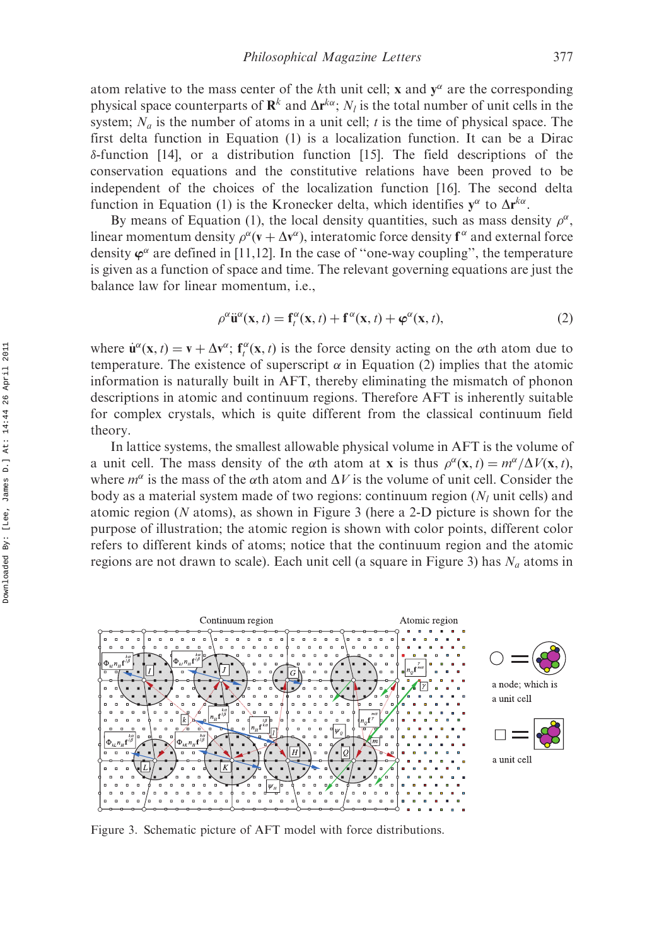atom relative to the mass center of the kth unit cell; x and  $y^{\alpha}$  are the corresponding physical space counterparts of  $\mathbf{R}^k$  and  $\Delta \mathbf{r}^{k\alpha}$ ;  $N_l$  is the total number of unit cells in the system;  $N_a$  is the number of atoms in a unit cell; t is the time of physical space. The first delta function in Equation (1) is a localization function. It can be a Dirac  $\delta$ -function [14], or a distribution function [15]. The field descriptions of the conservation equations and the constitutive relations have been proved to be independent of the choices of the localization function [16]. The second delta function in Equation (1) is the Kronecker delta, which identifies  $y^{\alpha}$  to  $\Delta r^{k\alpha}$ .

By means of Equation (1), the local density quantities, such as mass density  $\rho^{\alpha}$ , linear momentum density  $\rho^{\alpha}$ (**v** +  $\Delta$ **v** $^{\alpha}$ ), interatomic force density  $f^{\alpha}$  and external force density  $\varphi^{\alpha}$  are defined in [11,12]. In the case of "one-way coupling", the temperature is given as a function of space and time. The relevant governing equations are just the balance law for linear momentum, i.e.,

$$
\rho^{\alpha}\ddot{\mathbf{u}}^{\alpha}(\mathbf{x},t) = \mathbf{f}_t^{\alpha}(\mathbf{x},t) + \mathbf{f}^{\alpha}(\mathbf{x},t) + \boldsymbol{\varphi}^{\alpha}(\mathbf{x},t),
$$
\n(2)

where  $\dot{\mathbf{u}}^{\alpha}(\mathbf{x}, t) = \mathbf{v} + \Delta \mathbf{v}^{\alpha}$ ;  $\mathbf{f}_t^{\alpha}(\mathbf{x}, t)$  is the force density acting on the  $\alpha$ th atom due to temperature. The existence of superscript  $\alpha$  in Equation (2) implies that the atomic information is naturally built in AFT, thereby eliminating the mismatch of phonon descriptions in atomic and continuum regions. Therefore AFT is inherently suitable for complex crystals, which is quite different from the classical continuum field theory.

In lattice systems, the smallest allowable physical volume in AFT is the volume of a unit cell. The mass density of the  $\alpha$ th atom at x is thus  $\rho^{\alpha}(x, t) = m^{\alpha}/\Delta V(x, t)$ , where  $m^{\alpha}$  is the mass of the  $\alpha$ th atom and  $\Delta V$  is the volume of unit cell. Consider the body as a material system made of two regions: continuum region  $(N_l$  unit cells) and atomic region (N atoms), as shown in Figure 3 (here a 2-D picture is shown for the purpose of illustration; the atomic region is shown with color points, different color refers to different kinds of atoms; notice that the continuum region and the atomic regions are not drawn to scale). Each unit cell (a square in Figure 3) has  $N_a$  atoms in



Figure 3. Schematic picture of AFT model with force distributions.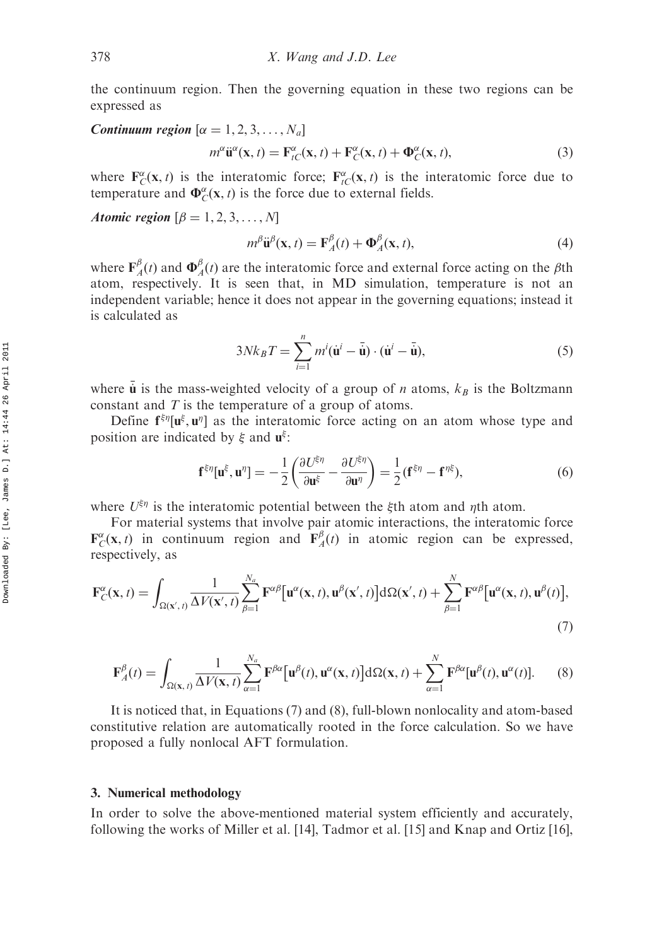the continuum region. Then the governing equation in these two regions can be expressed as

### Continuum region  $[\alpha = 1, 2, 3, \ldots, N_a]$

$$
m^{\alpha}\ddot{\mathbf{u}}^{\alpha}(\mathbf{x},t) = \mathbf{F}_{\text{fC}}^{\alpha}(\mathbf{x},t) + \mathbf{F}_{\text{C}}^{\alpha}(\mathbf{x},t) + \mathbf{\Phi}_{\text{C}}^{\alpha}(\mathbf{x},t),
$$
\n(3)

where  $\mathbf{F}_C^{\alpha}(\mathbf{x}, t)$  is the interatomic force;  $\mathbf{F}_{tC}^{\alpha}(\mathbf{x}, t)$  is the interatomic force due to temperature and  $\Phi_C^{\alpha}(\mathbf{x}, t)$  is the force due to external fields.

Atomic region  $[\beta = 1, 2, 3, \ldots, N]$ 

$$
m^{\beta} \ddot{\mathbf{u}}^{\beta}(\mathbf{x}, t) = \mathbf{F}_{A}^{\beta}(t) + \mathbf{\Phi}_{A}^{\beta}(\mathbf{x}, t),
$$
\n(4)

where  $\mathbf{F}_A^{\beta}(t)$  and  $\mathbf{\Phi}_A^{\beta}(t)$  are the interatomic force and external force acting on the  $\beta$ th atom, respectively. It is seen that, in MD simulation, temperature is not an independent variable; hence it does not appear in the governing equations; instead it is calculated as

$$
3Nk_B T = \sum_{i=1}^{n} m^i (\dot{\mathbf{u}}^i - \bar{\dot{\mathbf{u}}}) \cdot (\dot{\mathbf{u}}^i - \bar{\dot{\mathbf{u}}}),
$$
 (5)

where  $\bar{\mathbf{u}}$  is the mass-weighted velocity of a group of *n* atoms,  $k_B$  is the Boltzmann constant and  $T$  is the temperature of a group of atoms.

Define  $f^{\xi\eta}[\mathbf{u}^{\xi}, \mathbf{u}^{\eta}]$  as the interatomic force acting on an atom whose type and position are indicated by  $\xi$  and  $\mathbf{u}^{\xi}$ :

$$
\mathbf{f}^{\xi\eta}[\mathbf{u}^{\xi},\mathbf{u}^{\eta}] = -\frac{1}{2} \left( \frac{\partial U^{\xi\eta}}{\partial \mathbf{u}^{\xi}} - \frac{\partial U^{\xi\eta}}{\partial \mathbf{u}^{\eta}} \right) = \frac{1}{2} (\mathbf{f}^{\xi\eta} - \mathbf{f}^{\eta\xi}),\tag{6}
$$

where  $U^{\xi\eta}$  is the interatomic potential between the  $\xi$ th atom and  $\eta$ th atom.

For material systems that involve pair atomic interactions, the interatomic force  $\mathbf{F}_{C}^{\alpha}(\mathbf{x},t)$  in continuum region and  $\mathbf{F}_{A}^{\beta}(t)$  in atomic region can be expressed, respectively, as

$$
\mathbf{F}_C^{\alpha}(\mathbf{x},t) = \int_{\Omega(\mathbf{x}',t)} \frac{1}{\Delta V(\mathbf{x}',t)} \sum_{\beta=1}^{N_a} \mathbf{F}^{\alpha\beta} \big[ \mathbf{u}^{\alpha}(\mathbf{x},t), \mathbf{u}^{\beta}(\mathbf{x}',t) \big] d\Omega(\mathbf{x}',t) + \sum_{\beta=1}^{N} \mathbf{F}^{\alpha\beta} \big[ \mathbf{u}^{\alpha}(\mathbf{x},t), \mathbf{u}^{\beta}(t) \big],
$$
\n(7)

$$
\mathbf{F}_A^{\beta}(t) = \int_{\Omega(\mathbf{x},t)} \frac{1}{\Delta V(\mathbf{x},t)} \sum_{\alpha=1}^{N_a} \mathbf{F}^{\beta\alpha} \big[ \mathbf{u}^{\beta}(t), \mathbf{u}^{\alpha}(\mathbf{x},t) \big] d\Omega(\mathbf{x},t) + \sum_{\alpha=1}^{N} \mathbf{F}^{\beta\alpha} [\mathbf{u}^{\beta}(t), \mathbf{u}^{\alpha}(t)]. \tag{8}
$$

It is noticed that, in Equations (7) and (8), full-blown nonlocality and atom-based constitutive relation are automatically rooted in the force calculation. So we have proposed a fully nonlocal AFT formulation.

#### 3. Numerical methodology

In order to solve the above-mentioned material system efficiently and accurately, following the works of Miller et al. [14], Tadmor et al. [15] and Knap and Ortiz [16],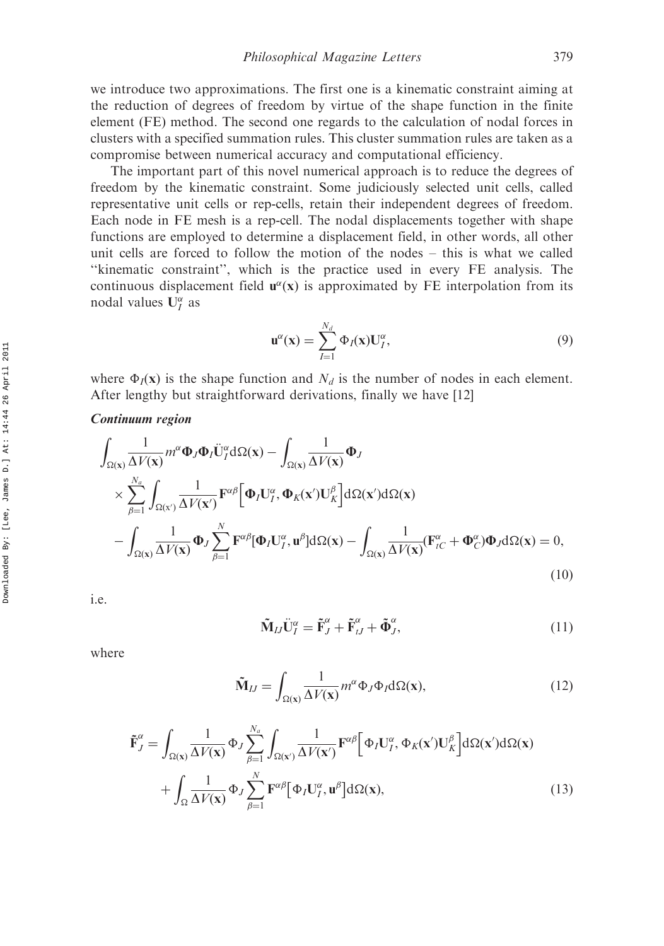we introduce two approximations. The first one is a kinematic constraint aiming at the reduction of degrees of freedom by virtue of the shape function in the finite element (FE) method. The second one regards to the calculation of nodal forces in clusters with a specified summation rules. This cluster summation rules are taken as a compromise between numerical accuracy and computational efficiency.

The important part of this novel numerical approach is to reduce the degrees of freedom by the kinematic constraint. Some judiciously selected unit cells, called representative unit cells or rep-cells, retain their independent degrees of freedom. Each node in FE mesh is a rep-cell. The nodal displacements together with shape functions are employed to determine a displacement field, in other words, all other unit cells are forced to follow the motion of the nodes – this is what we called "kinematic constraint", which is the practice used in every FE analysis. The continuous displacement field  $u^{\alpha}(x)$  is approximated by FE interpolation from its nodal values  $\mathbf{U}_I^{\alpha}$  as

$$
\mathbf{u}^{\alpha}(\mathbf{x}) = \sum_{I=1}^{N_d} \Phi_I(\mathbf{x}) \mathbf{U}_I^{\alpha}, \tag{9}
$$

where  $\Phi_I(\mathbf{x})$  is the shape function and  $N_d$  is the number of nodes in each element. After lengthy but straightforward derivations, finally we have [12]

#### Continuum region

$$
\int_{\Omega(x)} \frac{1}{\Delta V(x)} m^{\alpha} \Phi_{J} \Phi_{I} \ddot{\mathbf{U}}_{I}^{\alpha} d\Omega(x) - \int_{\Omega(x)} \frac{1}{\Delta V(x)} \Phi_{J} \times \sum_{\beta=1}^{N_{a}} \int_{\Omega(x)} \frac{1}{\Delta V(x')} \mathbf{F}^{\alpha\beta} \Big[ \Phi_{I} \mathbf{U}_{I}^{\alpha}, \Phi_{K}(x') \mathbf{U}_{K}^{\beta} \Big] d\Omega(x') d\Omega(x) \n- \int_{\Omega(x)} \frac{1}{\Delta V(x)} \Phi_{J} \sum_{\beta=1}^{N} \mathbf{F}^{\alpha\beta} [\Phi_{I} \mathbf{U}_{I}^{\alpha}, \mathbf{u}^{\beta}] d\Omega(x) - \int_{\Omega(x)} \frac{1}{\Delta V(x)} (\mathbf{F}_{IC}^{\alpha} + \Phi_{C}^{\alpha}) \Phi_{J} d\Omega(x) = 0,
$$
\n(10)

i.e.

$$
\tilde{\mathbf{M}}_{IJ}\ddot{\mathbf{U}}_I^{\alpha} = \tilde{\mathbf{F}}_J^{\alpha} + \tilde{\mathbf{F}}_{IJ}^{\alpha} + \tilde{\mathbf{\Phi}}_J^{\alpha},\tag{11}
$$

where

$$
\tilde{\mathbf{M}}_{IJ} = \int_{\Omega(\mathbf{x})} \frac{1}{\Delta V(\mathbf{x})} m^{\alpha} \Phi_J \Phi_I d\Omega(\mathbf{x}),\tag{12}
$$

$$
\tilde{\mathbf{F}}_{J}^{\alpha} = \int_{\Omega(\mathbf{x})} \frac{1}{\Delta V(\mathbf{x})} \Phi_{J} \sum_{\beta=1}^{N_{a}} \int_{\Omega(\mathbf{x}')} \frac{1}{\Delta V(\mathbf{x}')} \mathbf{F}^{\alpha\beta} \Big[ \Phi_{I} \mathbf{U}_{I}^{\alpha}, \Phi_{K}(\mathbf{x}') \mathbf{U}_{K}^{\beta} \Big] d\Omega(\mathbf{x}') d\Omega(\mathbf{x}) \n+ \int_{\Omega} \frac{1}{\Delta V(\mathbf{x})} \Phi_{J} \sum_{\beta=1}^{N} \mathbf{F}^{\alpha\beta} \Big[ \Phi_{I} \mathbf{U}_{I}^{\alpha}, \mathbf{u}^{\beta} \Big] d\Omega(\mathbf{x}),
$$
\n(13)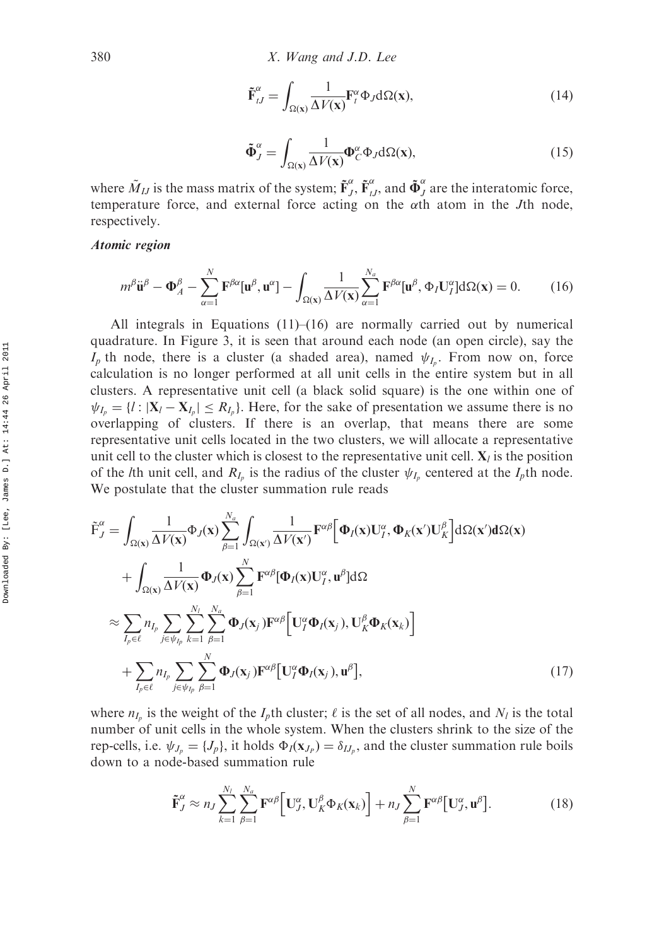380 X. Wang and J.D. Lee

$$
\tilde{\mathbf{F}}_{iJ}^{\alpha} = \int_{\Omega(\mathbf{x})} \frac{1}{\Delta V(\mathbf{x})} \mathbf{F}_i^{\alpha} \Phi_J \mathrm{d}\Omega(\mathbf{x}),\tag{14}
$$

$$
\tilde{\Phi}_{J}^{\alpha} = \int_{\Omega(\mathbf{x})} \frac{1}{\Delta V(\mathbf{x})} \Phi_{C}^{\alpha} \Phi_{J} d\Omega(\mathbf{x}), \qquad (15)
$$

where  $\tilde M_{IJ}$  is the mass matrix of the system;  ${\bf \tilde F}^\alpha_{J}$ ,  ${\bf \tilde F}^\alpha_{IJ}$ , and  ${\bf \tilde \Phi}^\alpha_{J}$  are the interatomic force, temperature force, and external force acting on the  $\alpha$ th atom in the Jth node, respectively.

#### Atomic region

$$
m^{\beta}\ddot{\mathbf{u}}^{\beta} - \Phi_{A}^{\beta} - \sum_{\alpha=1}^{N} \mathbf{F}^{\beta\alpha}[\mathbf{u}^{\beta}, \mathbf{u}^{\alpha}] - \int_{\Omega(\mathbf{x})} \frac{1}{\Delta V(\mathbf{x})} \sum_{\alpha=1}^{N_a} \mathbf{F}^{\beta\alpha}[\mathbf{u}^{\beta}, \Phi_I \mathbf{U}_I^{\alpha}] d\Omega(\mathbf{x}) = 0.
$$
 (16)

All integrals in Equations  $(11)$ – $(16)$  are normally carried out by numerical quadrature. In Figure 3, it is seen that around each node (an open circle), say the  $I_p$  th node, there is a cluster (a shaded area), named  $\psi_{I_p}$ . From now on, force calculation is no longer performed at all unit cells in the entire system but in all clusters. A representative unit cell (a black solid square) is the one within one of  $\psi_{I_p} = \{l : |\mathbf{X}_l - \mathbf{X}_{I_p}| \leq R_{I_p}\}\$ . Here, for the sake of presentation we assume there is no overlapping of clusters. If there is an overlap, that means there are some representative unit cells located in the two clusters, we will allocate a representative unit cell to the cluster which is closest to the representative unit cell.  $X_i$  is the position of the *l*th unit cell, and  $R_{I_p}$  is the radius of the cluster  $\psi_{I_p}$  centered at the  $I_p$ th node. We postulate that the cluster summation rule reads

$$
\tilde{F}_{J}^{\alpha} = \int_{\Omega(x)} \frac{1}{\Delta V(x)} \Phi_{J}(x) \sum_{\beta=1}^{N_{a}} \int_{\Omega(x')} \frac{1}{\Delta V(x')} F^{\alpha\beta} [\Phi_{I}(x) U_{I}^{\alpha}, \Phi_{K}(x') U_{K}^{\beta}] d\Omega(x') d\Omega(x) \n+ \int_{\Omega(x)} \frac{1}{\Delta V(x)} \Phi_{J}(x) \sum_{\beta=1}^{N} F^{\alpha\beta} [\Phi_{I}(x) U_{I}^{\alpha}, u^{\beta}] d\Omega \n\approx \sum_{I_{p} \in \ell} n_{I_{p}} \sum_{j \in \psi_{I_{p}}} \sum_{k=1}^{N_{I}} \sum_{\beta=1}^{N_{a}} \Phi_{J}(x_{j}) F^{\alpha\beta} [\Upsilon_{I}^{\alpha} \Phi_{I}(x_{j}), U_{K}^{\beta} \Phi_{K}(x_{k})] \n+ \sum_{I_{p} \in \ell} n_{I_{p}} \sum_{j \in \psi_{I_{p}}} \sum_{\beta=1}^{N} \Phi_{J}(x_{j}) F^{\alpha\beta} [\Upsilon_{I}^{\alpha} \Phi_{I}(x_{j}), u^{\beta}],
$$
\n(17)

where  $n_{I_n}$  is the weight of the  $I_p$ th cluster;  $\ell$  is the set of all nodes, and  $N_l$  is the total number of unit cells in the whole system. When the clusters shrink to the size of the rep-cells, i.e.  $\psi_{J_p} = \{J_p\}$ , it holds  $\Phi_I(\mathbf{x}_{J_p}) = \delta_{IJ_p}$ , and the cluster summation rule boils down to a node-based summation rule

$$
\tilde{\mathbf{F}}_J^{\alpha} \approx n_J \sum_{k=1}^{N_I} \sum_{\beta=1}^{N_a} \mathbf{F}^{\alpha \beta} \Big[ \mathbf{U}_J^{\alpha}, \mathbf{U}_K^{\beta} \Phi_K(\mathbf{x}_k) \Big] + n_J \sum_{\beta=1}^{N} \mathbf{F}^{\alpha \beta} \Big[ \mathbf{U}_J^{\alpha}, \mathbf{u}^{\beta} \Big]. \tag{18}
$$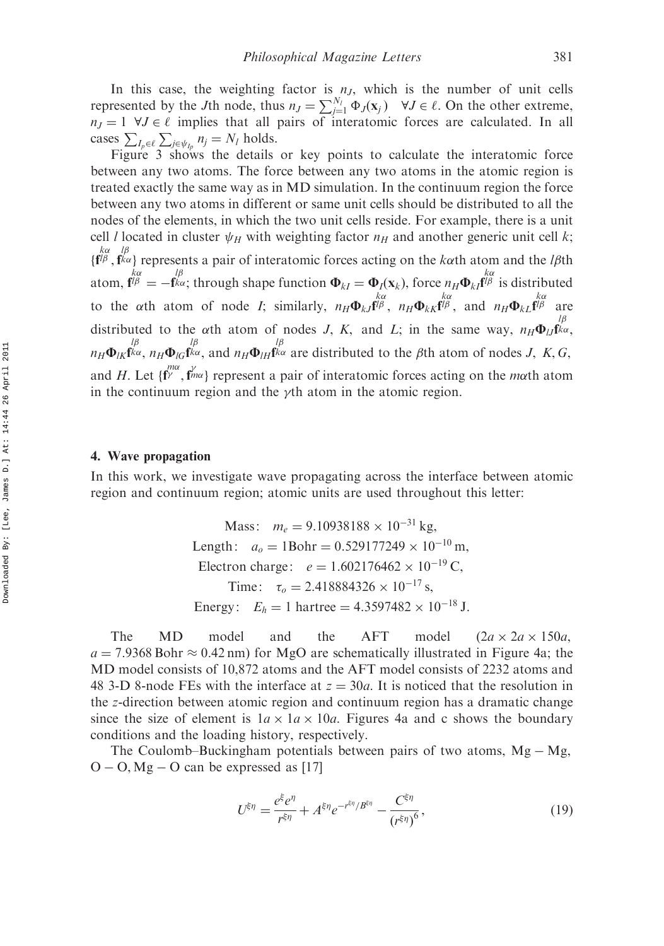In this case, the weighting factor is  $n<sub>J</sub>$ , which is the number of unit cells represented by the Jth node, thus  $n_J = \sum_{j=1}^{N_l} \Phi_j(\mathbf{x}_j)$   $\forall J \in \ell$ . On the other extreme,  $n_J = 1$   $\forall J \in \ell$  implies that all pairs of interatomic forces are calculated. In all cases  $\sum_{I_p \in \ell}$  $\sum_{j \in \psi_{I_p}} n_j = N_l$  holds.

Figure 3 shows the details or key points to calculate the interatomic force between any two atoms. The force between any two atoms in the atomic region is treated exactly the same way as in MD simulation. In the continuum region the force between any two atoms in different or same unit cells should be distributed to all the nodes of the elements, in which the two unit cells reside. For example, there is a unit cell *l* located in cluster  $\psi_H$  with weighting factor  $n_H$  and another generic unit cell k;  $\{f^{i\alpha}, f^{k\alpha}\}\}$  represents a pair of interatomic forces acting on the k $\alpha$ th atom and the *l* $\beta$ th atom,  $\mathbf{f}^{\text{ka}}_{\text{l}} = -\mathbf{f}^{\text{ka}}_{\text{ka}}$ ; through shape function  $\mathbf{\Phi}_{kI} = \mathbf{\Phi}_I(\mathbf{x}_k)$ , force  $n_H \mathbf{\Phi}_{kI} \mathbf{f}^{\text{la}}_{\text{l}}$  is distributed to the  $\alpha$ th atom of node *I*; similarly,  $n_H \Phi_{kJ} f^{\alpha\beta}$ ,  $n_H \Phi_{kK} f^{\alpha\beta}$ , and  $n_H \Phi_{kL} f^{\alpha\beta}$  are distributed to the  $\alpha$ th atom of nodes *J*, *K*, and *L*; in the same way,  $n_H \Phi_{IJ} f^{\beta}_{k\alpha}$ ,  $n_H \Phi_{IK} f_{\kappa \alpha}$ ,  $n_H \Phi_{IG} f_{\kappa \alpha}$ , and  $n_H \Phi_{IH} f_{\kappa \alpha}$  are distributed to the  $\beta$ th atom of nodes J, K, G, and H. Let  $\{f^{\prime\prime\prime}, f^{\prime\prime\prime\alpha}\}$  represent a pair of interatomic forces acting on the *mo*th atom in the continuum region and the  $\gamma$ th atom in the atomic region.

#### 4. Wave propagation

In this work, we investigate wave propagating across the interface between atomic region and continuum region; atomic units are used throughout this letter:

Mass: 
$$
m_e = 9.10938188 \times 10^{-31}
$$
 kg,  
Length:  $a_o = 1$ Bohr = 0.529177249 × 10<sup>-10</sup> m,  
Electron charge:  $e = 1.602176462 \times 10^{-19}$  C,  
Time:  $\tau_o = 2.418884326 \times 10^{-17}$  s,  
Energy:  $E_h = 1$  hartree = 4.3597482 × 10<sup>-18</sup> J.

The MD model and the AFT model  $(2a \times 2a \times 150a,$  $a = 7.9368$  Bohr  $\approx 0.42$  nm) for MgO are schematically illustrated in Figure 4a; the MD model consists of 10,872 atoms and the AFT model consists of 2232 atoms and 48 3-D 8-node FEs with the interface at  $z = 30a$ . It is noticed that the resolution in the z-direction between atomic region and continuum region has a dramatic change since the size of element is  $1a \times 1a \times 10a$ . Figures 4a and c shows the boundary conditions and the loading history, respectively.

The Coulomb–Buckingham potentials between pairs of two atoms,  $Mg - Mg$ ,  $O - O$ , Mg  $- O$  can be expressed as [17]

$$
U^{\xi\eta} = \frac{e^{\xi}e^{\eta}}{r^{\xi\eta}} + A^{\xi\eta}e^{-r^{\xi\eta}/B^{\xi\eta}} - \frac{C^{\xi\eta}}{(r^{\xi\eta})^6},\tag{19}
$$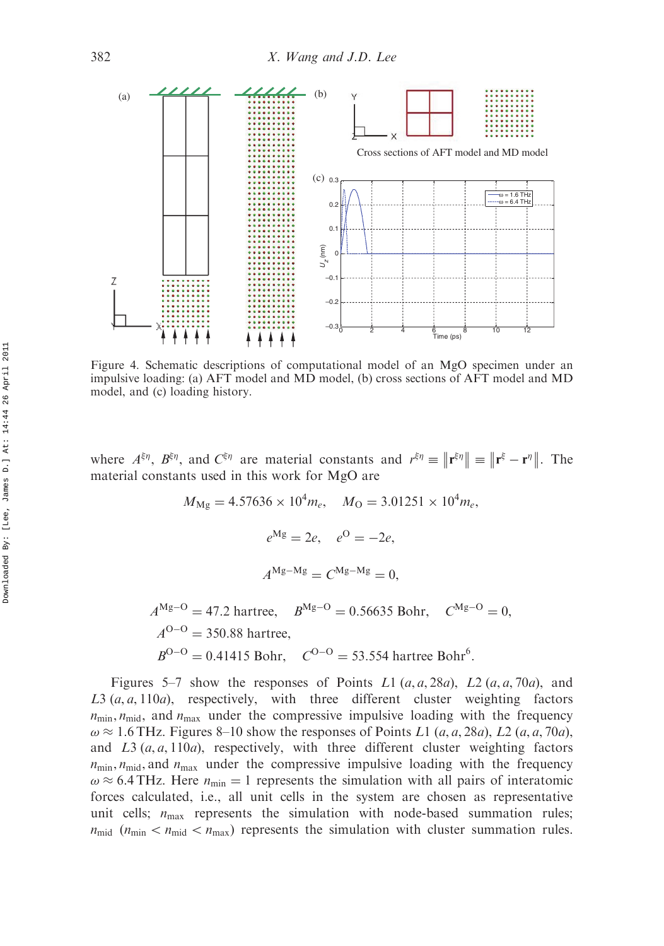

Figure 4. Schematic descriptions of computational model of an MgO specimen under an impulsive loading: (a) AFT model and MD model, (b) cross sections of AFT model and MD model, and (c) loading history.

where  $A^{\xi\eta}$ ,  $B^{\xi\eta}$ , and  $C^{\xi\eta}$  are material constants and  $r^{\xi\eta} \equiv ||\mathbf{r}^{\xi\eta}|| \equiv ||\mathbf{r}^{\xi} - \mathbf{r}^{\eta}||$ . The material constants used in this work for MgO are

$$
M_{\text{Mg}} = 4.57636 \times 10^{4} m_{e}, \quad M_{\text{O}} = 3.01251 \times 10^{4} m_{e},
$$
\n
$$
e^{\text{Mg}} = 2e, \quad e^{\text{O}} = -2e,
$$
\n
$$
A^{\text{Mg-Mg}} = C^{\text{Mg-Mg}} = 0,
$$
\n
$$
A^{\text{Mg-O}} = 47.2 \text{ hartree}, \quad B^{\text{Mg-O}} = 0.56635 \text{ Bohr}, \quad C^{\text{Mg-O}} = A^{\text{O-O}} = 350.88 \text{ hartree},
$$

 $0,$ 

 $B^{O-O} = 0.41415$  Bohr,  $C^{O-O} = 53.554$  hartree Bohr<sup>6</sup>.

Figures 5–7 show the responses of Points L1  $(a, a, 28a)$ , L2  $(a, a, 70a)$ , and L3  $(a, a, 110a)$ , respectively, with three different cluster weighting factors  $n_{\text{min}}$ ,  $n_{\text{mid}}$ , and  $n_{\text{max}}$  under the compressive impulsive loading with the frequency  $\omega \approx 1.6$  THz. Figures 8–10 show the responses of Points L1  $(a, a, 28a)$ , L2  $(a, a, 70a)$ , and L3  $(a, a, 110a)$ , respectively, with three different cluster weighting factors  $n_{\text{min}}$ ,  $n_{\text{mid}}$ , and  $n_{\text{max}}$  under the compressive impulsive loading with the frequency  $\omega \approx 6.4$  THz. Here  $n_{\text{min}} = 1$  represents the simulation with all pairs of interatomic forces calculated, i.e., all unit cells in the system are chosen as representative unit cells;  $n_{\text{max}}$  represents the simulation with node-based summation rules;  $n_{\text{mid}}$  ( $n_{\text{min}} < n_{\text{mid}} < n_{\text{max}}$ ) represents the simulation with cluster summation rules.

 $A^{\Lambda}$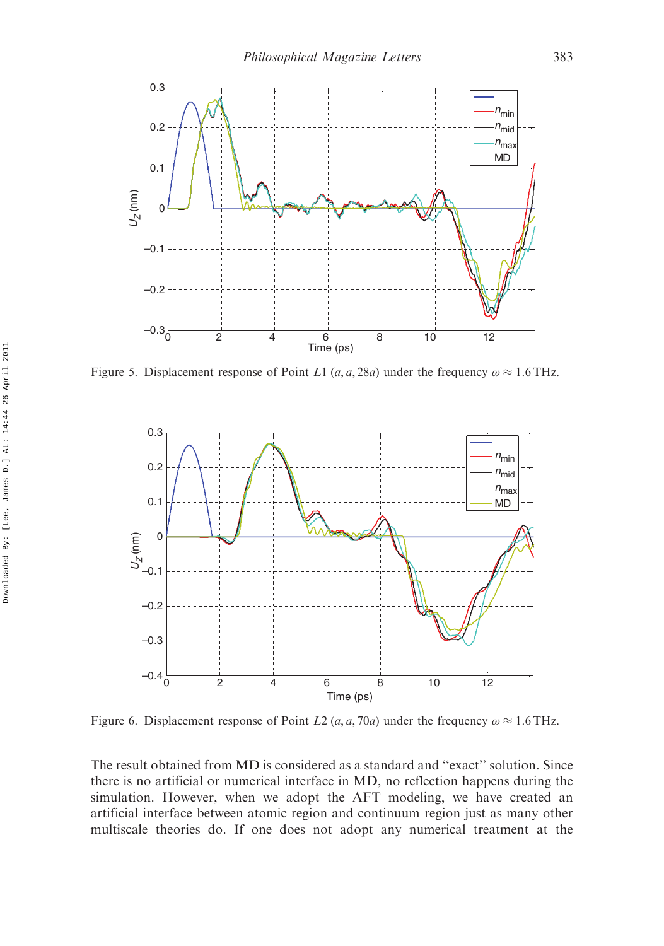

Figure 5. Displacement response of Point L1  $(a, a, 28a)$  under the frequency  $\omega \approx 1.6$  THz.



Figure 6. Displacement response of Point L2  $(a, a, 70a)$  under the frequency  $\omega \approx 1.6$  THz.

The result obtained from MD is considered as a standard and ''exact'' solution. Since there is no artificial or numerical interface in MD, no reflection happens during the simulation. However, when we adopt the AFT modeling, we have created an artificial interface between atomic region and continuum region just as many other multiscale theories do. If one does not adopt any numerical treatment at the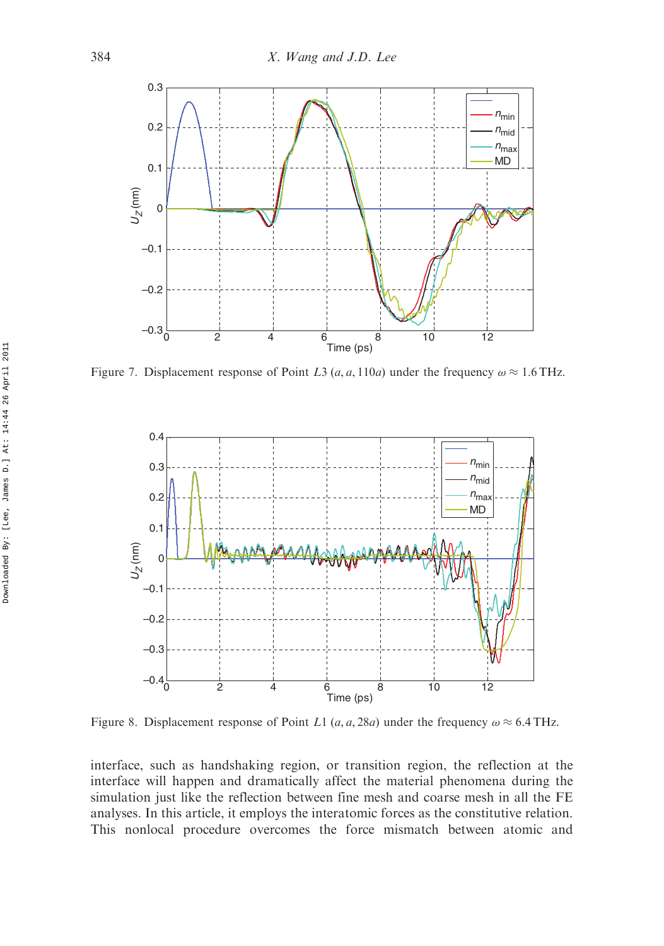

Figure 7. Displacement response of Point L3  $(a, a, 110a)$  under the frequency  $\omega \approx 1.6$  THz.



Figure 8. Displacement response of Point L1  $(a, a, 28a)$  under the frequency  $\omega \approx 6.4$  THz.

interface, such as handshaking region, or transition region, the reflection at the interface will happen and dramatically affect the material phenomena during the simulation just like the reflection between fine mesh and coarse mesh in all the FE analyses. In this article, it employs the interatomic forces as the constitutive relation. This nonlocal procedure overcomes the force mismatch between atomic and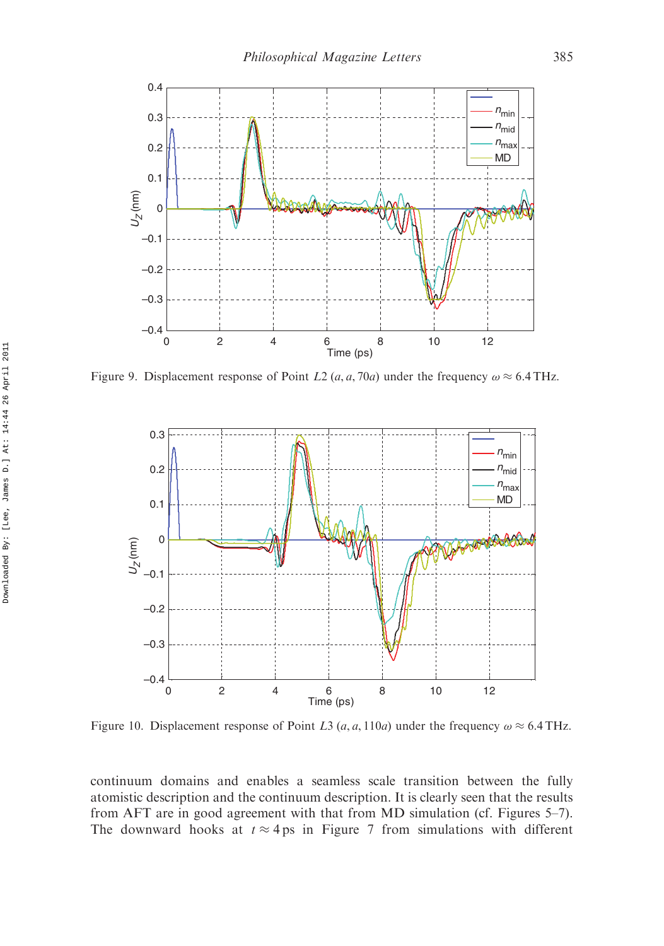

Figure 9. Displacement response of Point L2  $(a, a, 70a)$  under the frequency  $\omega \approx 6.4$  THz.



Figure 10. Displacement response of Point L3  $(a, a, 110a)$  under the frequency  $\omega \approx 6.4 \text{ THz}$ .

continuum domains and enables a seamless scale transition between the fully atomistic description and the continuum description. It is clearly seen that the results from AFT are in good agreement with that from MD simulation (cf. Figures 5–7). The downward hooks at  $t \approx 4$  ps in Figure 7 from simulations with different